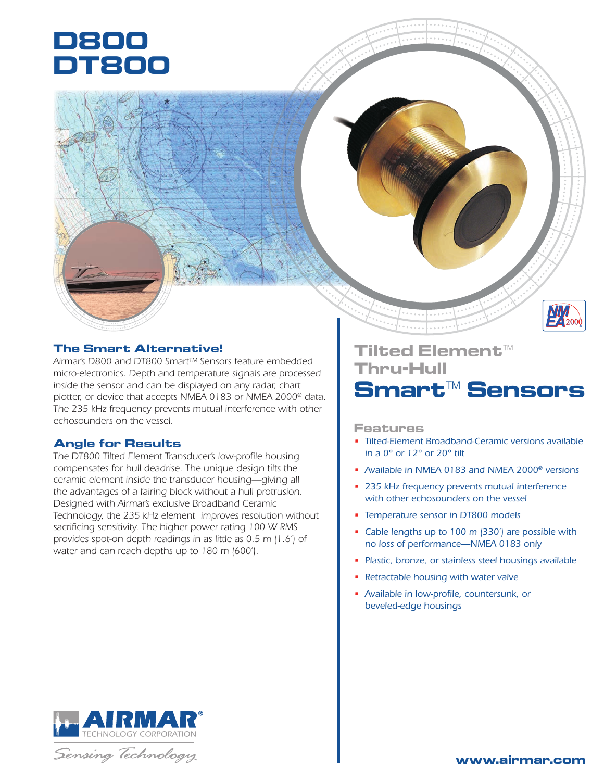# **D800 DT800**

## **The Smart Alternative!**

*Airmar's D800 and DT800 Smart™ Sensors feature embedded micro-electronics. Depth and temperature signals are processed inside the sensor and can be displayed on any radar, chart plotter, or device that accepts NMEA 0183 or NMEA 2000® data. The 235 kHz frequency prevents mutual interference with other echosounders on the vessel.* 

#### **Angle for Results**

*The DT800 Tilted Element Transducer's low-profile housing compensates for hull deadrise. The unique design tilts the ceramic element inside the transducer housing—giving all the advantages of a fairing block without a hull protrusion. Designed with Airmar's exclusive Broadband Ceramic Technology, the 235 kHz element improves resolution without sacrificing sensitivity. The higher power rating 100 W RMS provides spot-on depth readings in as little as 0.5 m (1.6') of water and can reach depths up to 180 m (600').*

# **Tilted Element™ Thru-Hull Smart™ Sensors**

**Features**

- *• Tilted-Element Broadband-Ceramic versions available in a 0° or 12° or 20° tilt*
- *• Available in NMEA 0183 and NMEA 2000® versions*
- *• 235 kHz frequency prevents mutual interference with other echosounders on the vessel*
- *• Temperature sensor in DT800 models*
- *• Cable lengths up to 100 m (330') are possible with no loss of performance—NMEA 0183 only*
- *• Plastic, bronze, or stainless steel housings available*
- *• Retractable housing with water valve*
- *• Available in low-profile, countersunk, or beveled-edge housings*



Sensing Technology